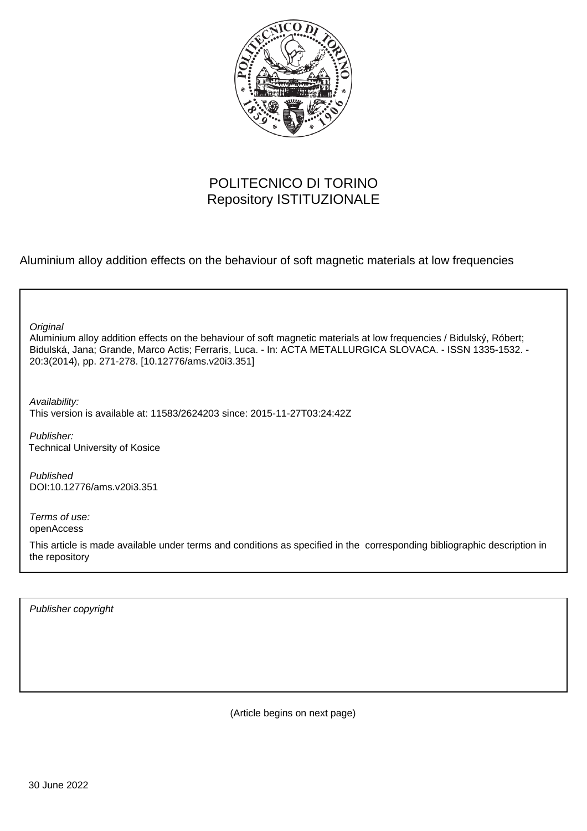

# POLITECNICO DI TORINO Repository ISTITUZIONALE

Aluminium alloy addition effects on the behaviour of soft magnetic materials at low frequencies

**Original** 

Aluminium alloy addition effects on the behaviour of soft magnetic materials at low frequencies / Bidulský, Róbert; Bidulská, Jana; Grande, Marco Actis; Ferraris, Luca. - In: ACTA METALLURGICA SLOVACA. - ISSN 1335-1532. - 20:3(2014), pp. 271-278. [10.12776/ams.v20i3.351]

Availability: This version is available at: 11583/2624203 since: 2015-11-27T03:24:42Z

Publisher: Technical University of Kosice

Published DOI:10.12776/ams.v20i3.351

Terms of use: openAccess

This article is made available under terms and conditions as specified in the corresponding bibliographic description in the repository

Publisher copyright

(Article begins on next page)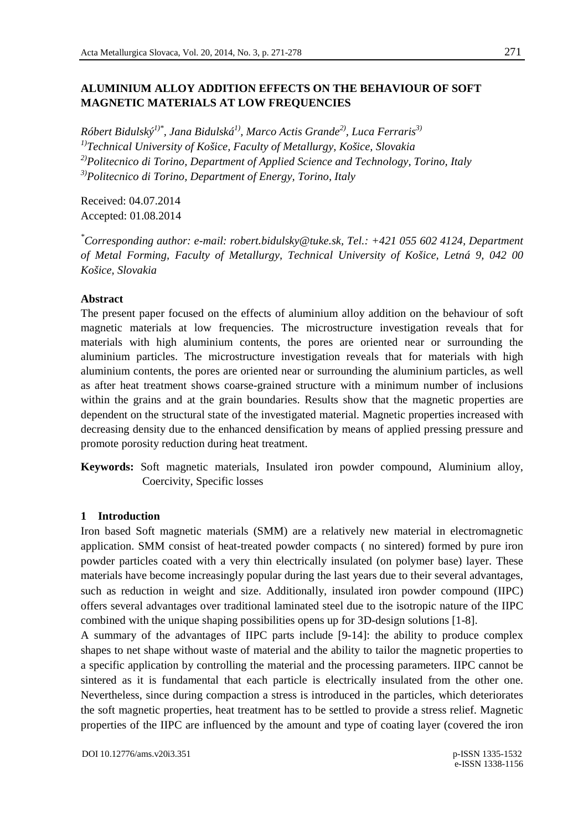# **ALUMINIUM ALLOY ADDITION EFFECTS ON THE BEHAVIOUR OF SOFT MAGNETIC MATERIALS AT LOW FREQUENCIES**

*Róbert Bidulský1)\*, Jana Bidulská1), Marco Actis Grande2), Luca Ferraris3) 1)Technical University of Košice, Faculty of Metallurgy, Košice, Slovakia 2)Politecnico di Torino, Department of Applied Science and Technology, Torino, Italy 3)Politecnico di Torino, Department of Energy, Torino, Italy* 

Received: 04.07.2014 Accepted: 01.08.2014

*\*Corresponding author: e-mail: robert.bidulsky@tuke.sk, Tel.: +421 055 602 4124, Department of Metal Forming, Faculty of Metallurgy, Technical University of Košice, Letná 9, 042 00 Košice, Slovakia* 

## **Abstract**

The present paper focused on the effects of aluminium alloy addition on the behaviour of soft magnetic materials at low frequencies. The microstructure investigation reveals that for materials with high aluminium contents, the pores are oriented near or surrounding the aluminium particles. The microstructure investigation reveals that for materials with high aluminium contents, the pores are oriented near or surrounding the aluminium particles, as well as after heat treatment shows coarse-grained structure with a minimum number of inclusions within the grains and at the grain boundaries. Results show that the magnetic properties are dependent on the structural state of the investigated material. Magnetic properties increased with decreasing density due to the enhanced densification by means of applied pressing pressure and promote porosity reduction during heat treatment.

**Keywords:** Soft magnetic materials, Insulated iron powder compound, Aluminium alloy, Coercivity, Specific losses

## **1 Introduction**

Iron based Soft magnetic materials (SMM) are a relatively new material in electromagnetic application. SMM consist of heat-treated powder compacts ( no sintered) formed by pure iron powder particles coated with a very thin electrically insulated (on polymer base) layer. These materials have become increasingly popular during the last years due to their several advantages, such as reduction in weight and size. Additionally, insulated iron powder compound (IIPC) offers several advantages over traditional laminated steel due to the isotropic nature of the IIPC combined with the unique shaping possibilities opens up for 3D-design solutions [1-8].

A summary of the advantages of IIPC parts include [9-14]: the ability to produce complex shapes to net shape without waste of material and the ability to tailor the magnetic properties to a specific application by controlling the material and the processing parameters. IIPC cannot be sintered as it is fundamental that each particle is electrically insulated from the other one. Nevertheless, since during compaction a stress is introduced in the particles, which deteriorates the soft magnetic properties, heat treatment has to be settled to provide a stress relief. Magnetic properties of the IIPC are influenced by the amount and type of coating layer (covered the iron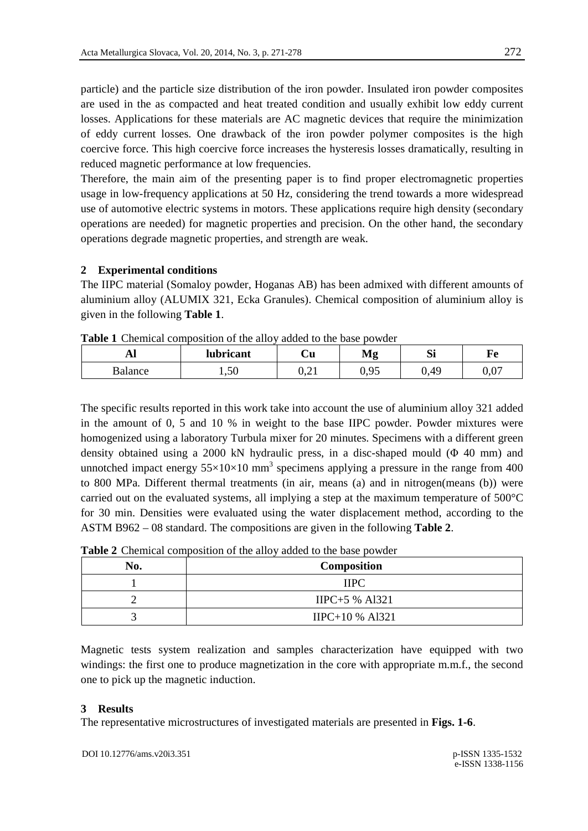particle) and the particle size distribution of the iron powder. Insulated iron powder composites are used in the as compacted and heat treated condition and usually exhibit low eddy current losses. Applications for these materials are AC magnetic devices that require the minimization of eddy current losses. One drawback of the iron powder polymer composites is the high coercive force. This high coercive force increases the hysteresis losses dramatically, resulting in reduced magnetic performance at low frequencies.

Therefore, the main aim of the presenting paper is to find proper electromagnetic properties usage in low-frequency applications at 50 Hz, considering the trend towards a more widespread use of automotive electric systems in motors. These applications require high density (secondary operations are needed) for magnetic properties and precision. On the other hand, the secondary operations degrade magnetic properties, and strength are weak.

## **2 Experimental conditions**

The IIPC material (Somaloy powder, Hoganas AB) has been admixed with different amounts of aluminium alloy (ALUMIX 321, Ecka Granules). Chemical composition of aluminium alloy is given in the following **Table 1**.

|         | <b>THUIC T</b> CHUINNAI COMPOSITION OF the and v added to the base bowder |      |      |      |         |
|---------|---------------------------------------------------------------------------|------|------|------|---------|
| Al      | <b>lubricant</b>                                                          | Сu   | Mε   |      |         |
| Balance | 1.50                                                                      | V.ZI | 0.95 | 0.49 | $0.0^-$ |

**Table 1** Chemical composition of the alloy added to the base powder

The specific results reported in this work take into account the use of aluminium alloy 321 added in the amount of 0, 5 and 10 % in weight to the base IIPC powder. Powder mixtures were homogenized using a laboratory Turbula mixer for 20 minutes. Specimens with a different green density obtained using a 2000 kN hydraulic press, in a disc-shaped mould (Φ 40 mm) and unnotched impact energy  $55 \times 10 \times 10$  mm<sup>3</sup> specimens applying a pressure in the range from 400 to 800 MPa. Different thermal treatments (in air, means (a) and in nitrogen(means (b)) were carried out on the evaluated systems, all implying a step at the maximum temperature of 500°C for 30 min. Densities were evaluated using the water displacement method, according to the ASTM B962 – 08 standard. The compositions are given in the following **Table 2**.

|  | Table 2 Chemical composition of the alloy added to the base powder |  |  |
|--|--------------------------------------------------------------------|--|--|
|  |                                                                    |  |  |

| No. | Composition       |  |  |
|-----|-------------------|--|--|
|     | <b>IIPC</b>       |  |  |
|     | $IIPC+5$ % Al321  |  |  |
|     | $IIPC+10 % A1321$ |  |  |

Magnetic tests system realization and samples characterization have equipped with two windings: the first one to produce magnetization in the core with appropriate m.m.f., the second one to pick up the magnetic induction.

#### **3 Results**

The representative microstructures of investigated materials are presented in **Figs. 1-6**.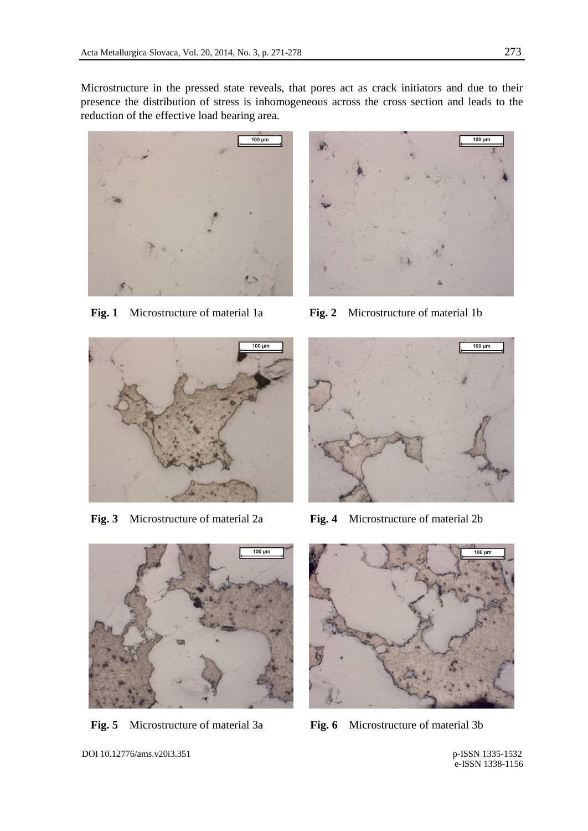Microstructure in the pressed state reveals, that pores act as crack initiators and due to their presence the distribution of stress is inhomogeneous across the cross section and leads to the reduction of the effective load bearing area.



**Fig. 1** Microstructure of material 1a **Fig. 2** Microstructure of material 1b







**Fig. 3** Microstructure of material 2a **Fig. 4** Microstructure of material 2b





**Fig. 5** Microstructure of material 3a **Fig. 6** Microstructure of material 3b

DOI 10.12776/ams.v20i3.351 p-ISSN 1335-1532

e-ISSN 1338-1156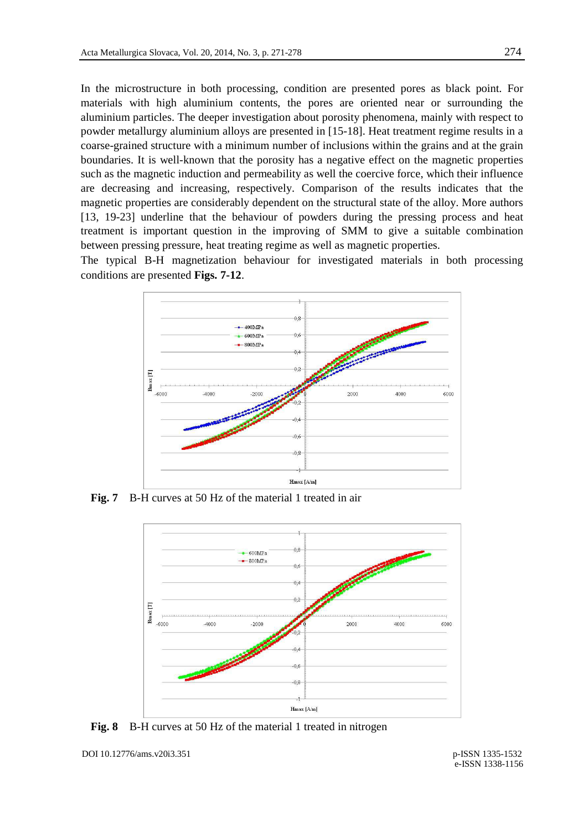In the microstructure in both processing, condition are presented pores as black point. For materials with high aluminium contents, the pores are oriented near or surrounding the aluminium particles. The deeper investigation about porosity phenomena, mainly with respect to powder metallurgy aluminium alloys are presented in [15-18]. Heat treatment regime results in a coarse-grained structure with a minimum number of inclusions within the grains and at the grain boundaries. It is well-known that the porosity has a negative effect on the magnetic properties such as the magnetic induction and permeability as well the coercive force, which their influence are decreasing and increasing, respectively. Comparison of the results indicates that the magnetic properties are considerably dependent on the structural state of the alloy. More authors [13, 19-23] underline that the behaviour of powders during the pressing process and heat treatment is important question in the improving of SMM to give a suitable combination between pressing pressure, heat treating regime as well as magnetic properties.

The typical B-H magnetization behaviour for investigated materials in both processing conditions are presented **Figs. 7-12**.



**Fig. 7** B-H curves at 50 Hz of the material 1 treated in air



**Fig. 8** B-H curves at 50 Hz of the material 1 treated in nitrogen

DOI 10.12776/ams.v20i3.351 p-ISSN 1335-1532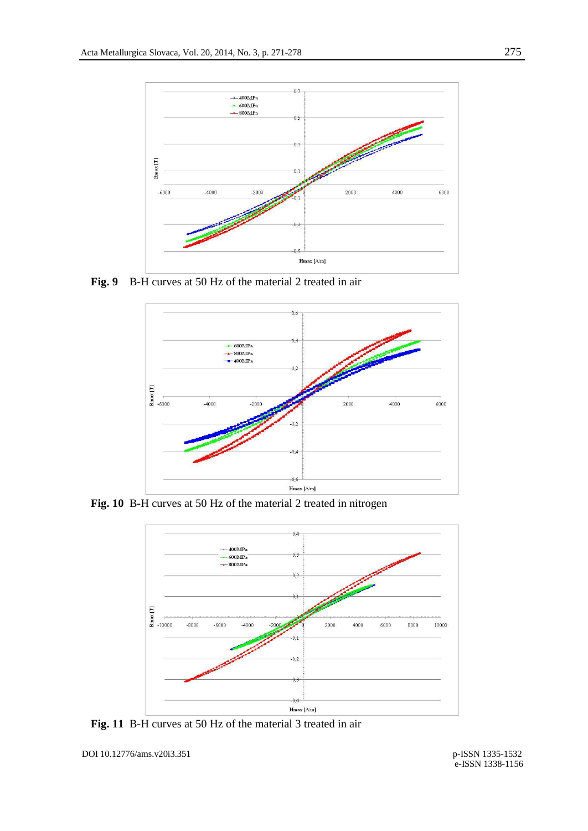

**Fig. 9** B-H curves at 50 Hz of the material 2 treated in air



**Fig. 10** B-H curves at 50 Hz of the material 2 treated in nitrogen



**Fig. 11** B-H curves at 50 Hz of the material 3 treated in air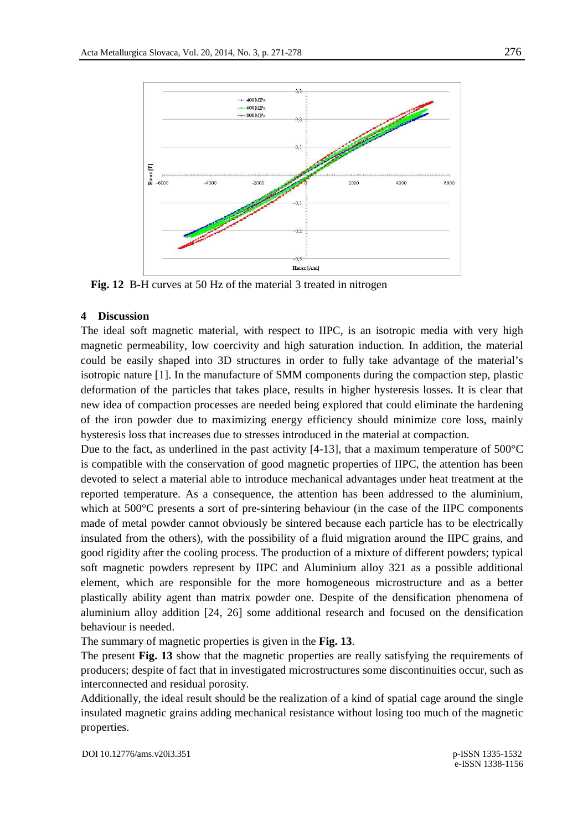

**Fig. 12** B-H curves at 50 Hz of the material 3 treated in nitrogen

#### **4 Discussion**

The ideal soft magnetic material, with respect to IIPC, is an isotropic media with very high magnetic permeability, low coercivity and high saturation induction. In addition, the material could be easily shaped into 3D structures in order to fully take advantage of the material's isotropic nature [1]. In the manufacture of SMM components during the compaction step, plastic deformation of the particles that takes place, results in higher hysteresis losses. It is clear that new idea of compaction processes are needed being explored that could eliminate the hardening of the iron powder due to maximizing energy efficiency should minimize core loss, mainly hysteresis loss that increases due to stresses introduced in the material at compaction.

Due to the fact, as underlined in the past activity  $[4-13]$ , that a maximum temperature of  $500^{\circ}$ C is compatible with the conservation of good magnetic properties of IIPC, the attention has been devoted to select a material able to introduce mechanical advantages under heat treatment at the reported temperature. As a consequence, the attention has been addressed to the aluminium, which at 500°C presents a sort of pre-sintering behaviour (in the case of the IIPC components made of metal powder cannot obviously be sintered because each particle has to be electrically insulated from the others), with the possibility of a fluid migration around the IIPC grains, and good rigidity after the cooling process. The production of a mixture of different powders; typical soft magnetic powders represent by IIPC and Aluminium alloy 321 as a possible additional element, which are responsible for the more homogeneous microstructure and as a better plastically ability agent than matrix powder one. Despite of the densification phenomena of aluminium alloy addition [24, 26] some additional research and focused on the densification behaviour is needed.

The summary of magnetic properties is given in the **Fig. 13**.

The present **Fig. 13** show that the magnetic properties are really satisfying the requirements of producers; despite of fact that in investigated microstructures some discontinuities occur, such as interconnected and residual porosity.

Additionally, the ideal result should be the realization of a kind of spatial cage around the single insulated magnetic grains adding mechanical resistance without losing too much of the magnetic properties.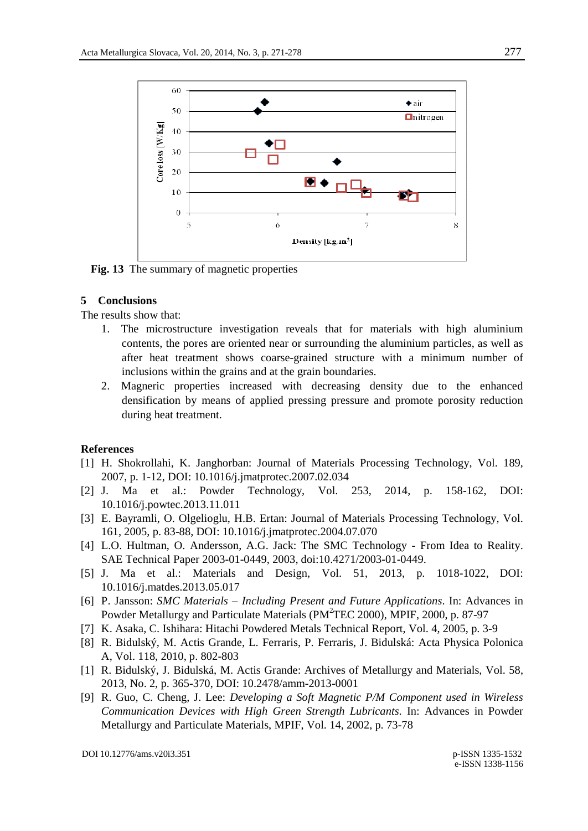

**Fig. 13** The summary of magnetic properties

## **5 Conclusions**

The results show that:

- 1. The microstructure investigation reveals that for materials with high aluminium contents, the pores are oriented near or surrounding the aluminium particles, as well as after heat treatment shows coarse-grained structure with a minimum number of inclusions within the grains and at the grain boundaries.
- 2. Magneric properties increased with decreasing density due to the enhanced densification by means of applied pressing pressure and promote porosity reduction during heat treatment.

## **References**

- [1] H. Shokrollahi, K. Janghorban: Journal of Materials Processing Technology, Vol. 189, 2007, p. 1-12, DOI: 10.1016/j.jmatprotec.2007.02.034
- [2] J. Ma et al.: Powder Technology, Vol. 253, 2014, p. 158-162, DOI: 10.1016/j.powtec.2013.11.011
- [3] E. Bayramli, O. Olgelioglu, H.B. Ertan: Journal of Materials Processing Technology, Vol. 161, 2005, p. 83-88, DOI: 10.1016/j.jmatprotec.2004.07.070
- [4] L.O. Hultman, O. Andersson, A.G. Jack: The SMC Technology From Idea to Reality. SAE Technical Paper 2003-01-0449, 2003, doi:10.4271/2003-01-0449.
- [5] J. Ma et al.: Materials and Design, Vol. 51, 2013, p. 1018-1022, DOI: 10.1016/j.matdes.2013.05.017
- [6] P. Jansson: *SMC Materials Including Present and Future Applications*. In: Advances in Powder Metallurgy and Particulate Materials (PM<sup>2</sup>TEC 2000), MPIF, 2000, p. 87-97
- [7] K. Asaka, C. Ishihara: Hitachi Powdered Metals Technical Report, Vol. 4, 2005, p. 3-9
- [8] R. Bidulský, M. Actis Grande, L. Ferraris, P. Ferraris, J. Bidulská: Acta Physica Polonica A, Vol. 118, 2010, p. 802-803
- [1] R. Bidulský, J. Bidulská, M. Actis Grande: Archives of Metallurgy and Materials, Vol. 58, 2013, No. 2, p. 365-370, DOI: 10.2478/amm-2013-0001
- [9] R. Guo, C. Cheng, J. Lee: *Developing a Soft Magnetic P/M Component used in Wireless Communication Devices with High Green Strength Lubricants*. In: Advances in Powder Metallurgy and Particulate Materials, MPIF, Vol. 14, 2002, p. 73-78

DOI 10.12776/ams.v20i3.351 p-ISSN 1335-1532